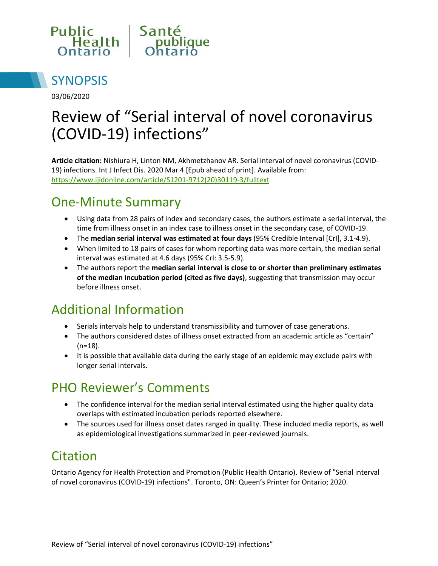



03/06/2020

# Review of "Serial interval of novel coronavirus (COVID-19) infections"

**Article citation:** Nishiura H, Linton NM, Akhmetzhanov AR. Serial interval of novel coronavirus (COVID-19) infections. Int J Infect Dis. 2020 Mar 4 [Epub ahead of print]. Available from: [https://www.ijidonline.com/article/S1201-9712\(20\)30119-3/fulltext](https://www.ijidonline.com/article/S1201-9712(20)30119-3/fulltext)

## One-Minute Summary

- Using data from 28 pairs of index and secondary cases, the authors estimate a serial interval, the time from illness onset in an index case to illness onset in the secondary case, of COVID-19.
- The **median serial interval was estimated at four days** (95% Credible Interval [CrI], 3.1-4.9).
- When limited to 18 pairs of cases for whom reporting data was more certain, the median serial interval was estimated at 4.6 days (95% CrI: 3.5-5.9).
- The authors report the **median serial interval is close to or shorter than preliminary estimates of the median incubation period (cited as five days)**, suggesting that transmission may occur before illness onset.

### Additional Information

- Serials intervals help to understand transmissibility and turnover of case generations.
- The authors considered dates of illness onset extracted from an academic article as "certain" (n=18).
- It is possible that available data during the early stage of an epidemic may exclude pairs with longer serial intervals.

### PHO Reviewer's Comments

- The confidence interval for the median serial interval estimated using the higher quality data overlaps with estimated incubation periods reported elsewhere.
- The sources used for illness onset dates ranged in quality. These included media reports, as well as epidemiological investigations summarized in peer-reviewed journals.

### Citation

Ontario Agency for Health Protection and Promotion (Public Health Ontario). Review of "Serial interval of novel coronavirus (COVID-19) infections". Toronto, ON: Queen's Printer for Ontario; 2020.